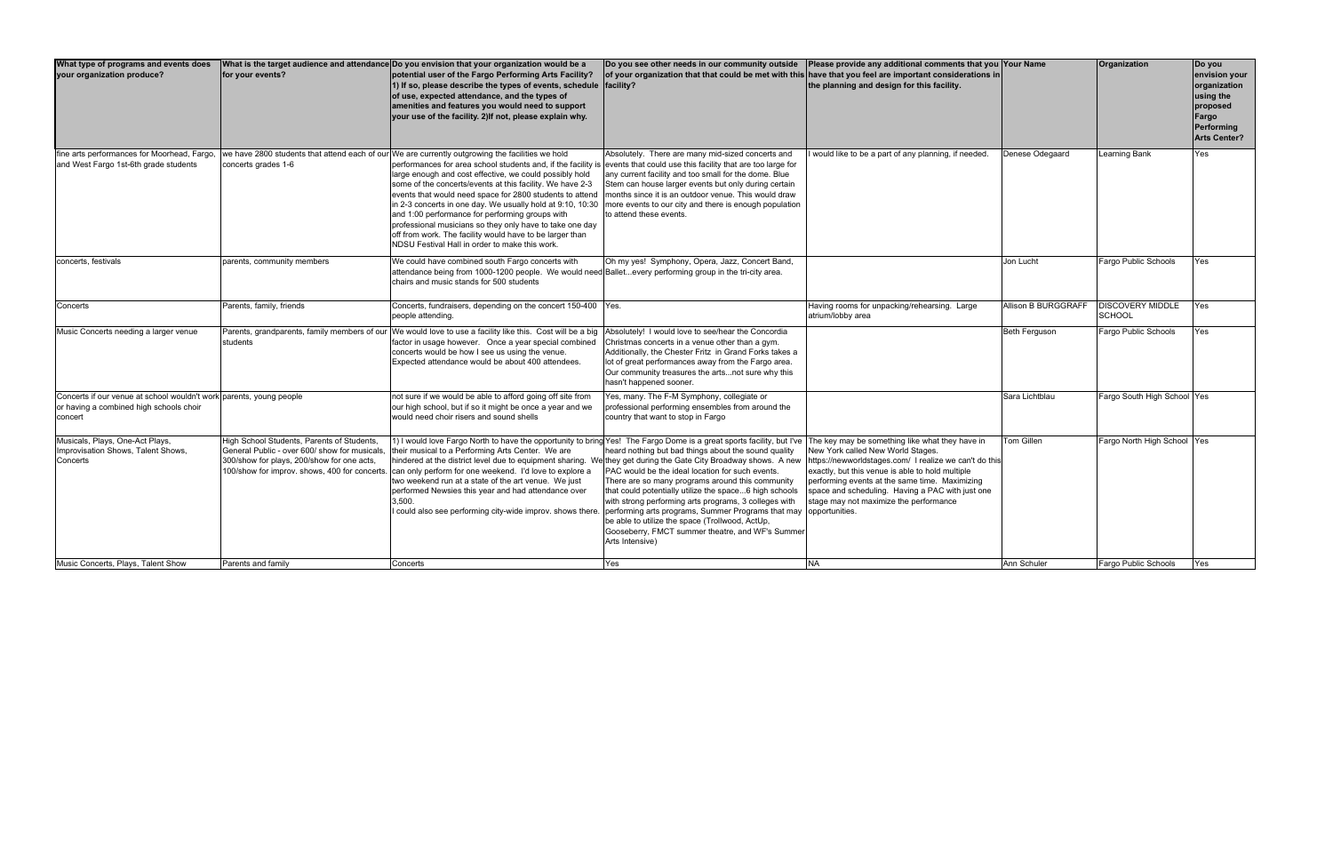| What type of programs and events does<br>your organization produce?                                                       | for your events?                                                                                                                                                                          | What is the target audience and attendance Do you envision that your organization would be a<br>potential user of the Fargo Performing Arts Facility?<br>1) If so, please describe the types of events, schedule $ $ facility?<br>of use, expected attendance, and the types of<br>amenities and features you would need to support<br>your use of the facility. 2) If not, please explain why.                                                                                                                                                                                                                                                                                                             | Do you see other needs in our community outside<br>of your organization that that could be met with this have that you feel are important considerations in                                                                                                                                                                                                                                                                                                                    | Please provide any additional comments that you Your Name<br>the planning and design for this facility.                                                                                                                                                                                                                                            |                      | Organization                             | Do you<br>envision your<br>organization<br>using the<br>proposed<br>Fargo<br>Performing<br><b>Arts Center?</b> |
|---------------------------------------------------------------------------------------------------------------------------|-------------------------------------------------------------------------------------------------------------------------------------------------------------------------------------------|-------------------------------------------------------------------------------------------------------------------------------------------------------------------------------------------------------------------------------------------------------------------------------------------------------------------------------------------------------------------------------------------------------------------------------------------------------------------------------------------------------------------------------------------------------------------------------------------------------------------------------------------------------------------------------------------------------------|--------------------------------------------------------------------------------------------------------------------------------------------------------------------------------------------------------------------------------------------------------------------------------------------------------------------------------------------------------------------------------------------------------------------------------------------------------------------------------|----------------------------------------------------------------------------------------------------------------------------------------------------------------------------------------------------------------------------------------------------------------------------------------------------------------------------------------------------|----------------------|------------------------------------------|----------------------------------------------------------------------------------------------------------------|
| fine arts performances for Moorhead, Fargo,<br>and West Fargo 1st-6th grade students                                      | concerts grades 1-6                                                                                                                                                                       | we have 2800 students that attend each of our We are currently outgrowing the facilities we hold<br>performances for area school students and, if the facility is events that could use this facility that are too large for<br>large enough and cost effective, we could possibly hold<br>some of the concerts/events at this facility. We have 2-3<br>events that would need space for 2800 students to attend<br>in 2-3 concerts in one day. We usually hold at 9:10, 10:30<br>and 1:00 performance for performing groups with<br>professional musicians so they only have to take one day<br>off from work. The facility would have to be larger than<br>NDSU Festival Hall in order to make this work. | Absolutely. There are many mid-sized concerts and<br>any current facility and too small for the dome. Blue<br>Stem can house larger events but only during certain<br>months since it is an outdoor venue. This would draw<br>more events to our city and there is enough population<br>to attend these events.                                                                                                                                                                | would like to be a part of any planning, if needed.                                                                                                                                                                                                                                                                                                | Denese Odegaard      | Learning Bank                            | Yes                                                                                                            |
| concerts, festivals                                                                                                       | parents, community members                                                                                                                                                                | We could have combined south Fargo concerts with<br>attendance being from 1000-1200 people. We would need Balletevery performing group in the tri-city area.<br>chairs and music stands for 500 students                                                                                                                                                                                                                                                                                                                                                                                                                                                                                                    | Oh my yes! Symphony, Opera, Jazz, Concert Band,                                                                                                                                                                                                                                                                                                                                                                                                                                |                                                                                                                                                                                                                                                                                                                                                    | Jon Lucht            | Fargo Public Schools                     | Yes                                                                                                            |
| Concerts                                                                                                                  | Parents, family, friends                                                                                                                                                                  | Concerts, fundraisers, depending on the concert 150-400   Yes.<br>people attending.                                                                                                                                                                                                                                                                                                                                                                                                                                                                                                                                                                                                                         |                                                                                                                                                                                                                                                                                                                                                                                                                                                                                | Having rooms for unpacking/rehearsing. Large<br>atrium/lobby area                                                                                                                                                                                                                                                                                  | Allison B BURGGRAFF  | <b>DISCOVERY MIDDLE</b><br><b>SCHOOL</b> | Yes                                                                                                            |
| Music Concerts needing a larger venue                                                                                     | Parents, grandparents, family members of ou<br>students                                                                                                                                   | We would love to use a facility like this. Cost will be a big<br>factor in usage however. Once a year special combined<br>concerts would be how I see us using the venue.<br>Expected attendance would be about 400 attendees.                                                                                                                                                                                                                                                                                                                                                                                                                                                                              | Absolutely! I would love to see/hear the Concordia<br>Christmas concerts in a venue other than a gym.<br>Additionally, the Chester Fritz in Grand Forks takes a<br>lot of great performances away from the Fargo area.<br>Our community treasures the artsnot sure why this<br>hasn't happened sooner.                                                                                                                                                                         |                                                                                                                                                                                                                                                                                                                                                    | <b>Beth Ferguson</b> | Fargo Public Schools                     | Yes                                                                                                            |
| Concerts if our venue at school wouldn't work parents, young people<br>or having a combined high schools choir<br>concert |                                                                                                                                                                                           | not sure if we would be able to afford going off site from<br>our high school, but if so it might be once a year and we<br>would need choir risers and sound shells                                                                                                                                                                                                                                                                                                                                                                                                                                                                                                                                         | Yes, many. The F-M Symphony, collegiate or<br>professional performing ensembles from around the<br>country that want to stop in Fargo                                                                                                                                                                                                                                                                                                                                          |                                                                                                                                                                                                                                                                                                                                                    | Sara Lichtblau       | Fargo South High School Yes              |                                                                                                                |
| Musicals, Plays, One-Act Plays,<br>Improvisation Shows, Talent Shows,<br>Concerts                                         | High School Students, Parents of Students,<br>General Public - over 600/ show for musicals.<br>300/show for plays, 200/show for one acts,<br>100/show for improv. shows, 400 for concerts | 1) I would love Fargo North to have the opportunity to bring Yes! The Fargo Dome is a great sports facility, but I've<br>their musical to a Performing Arts Center. We are<br>nindered at the district level due to equipment sharing. We they get during the Gate City Broadway shows. A new<br>can only perform for one weekend. I'd love to explore a<br>two weekend run at a state of the art venue. We just<br>performed Newsies this year and had attendance over<br>3.500.<br>could also see performing city-wide improv. shows there.                                                                                                                                                               | heard nothing but bad things about the sound quality<br>PAC would be the ideal location for such events.<br>There are so many programs around this community<br>that could potentially utilize the space6 high schools<br>with strong performing arts programs, 3 colleges with<br>performing arts programs, Summer Programs that may opportunities.<br>be able to utilize the space (Trollwood, ActUp,<br>Gooseberry, FMCT summer theatre, and WF's Summer<br>Arts Intensive) | The key may be something like what they have in<br>New York called New World Stages.<br>https://newworldstages.com/ I realize we can't do this<br>exactly, but this venue is able to hold multiple<br>performing events at the same time. Maximizing<br>space and scheduling. Having a PAC with just one<br>stage may not maximize the performance | <b>Tom Gillen</b>    | Fargo North High School Yes              |                                                                                                                |
| Music Concerts, Plays, Talent Show                                                                                        | Parents and family                                                                                                                                                                        | Concerts                                                                                                                                                                                                                                                                                                                                                                                                                                                                                                                                                                                                                                                                                                    | Yes                                                                                                                                                                                                                                                                                                                                                                                                                                                                            | <b>NA</b>                                                                                                                                                                                                                                                                                                                                          | Ann Schuler          | Fargo Public Schools                     | Yes                                                                                                            |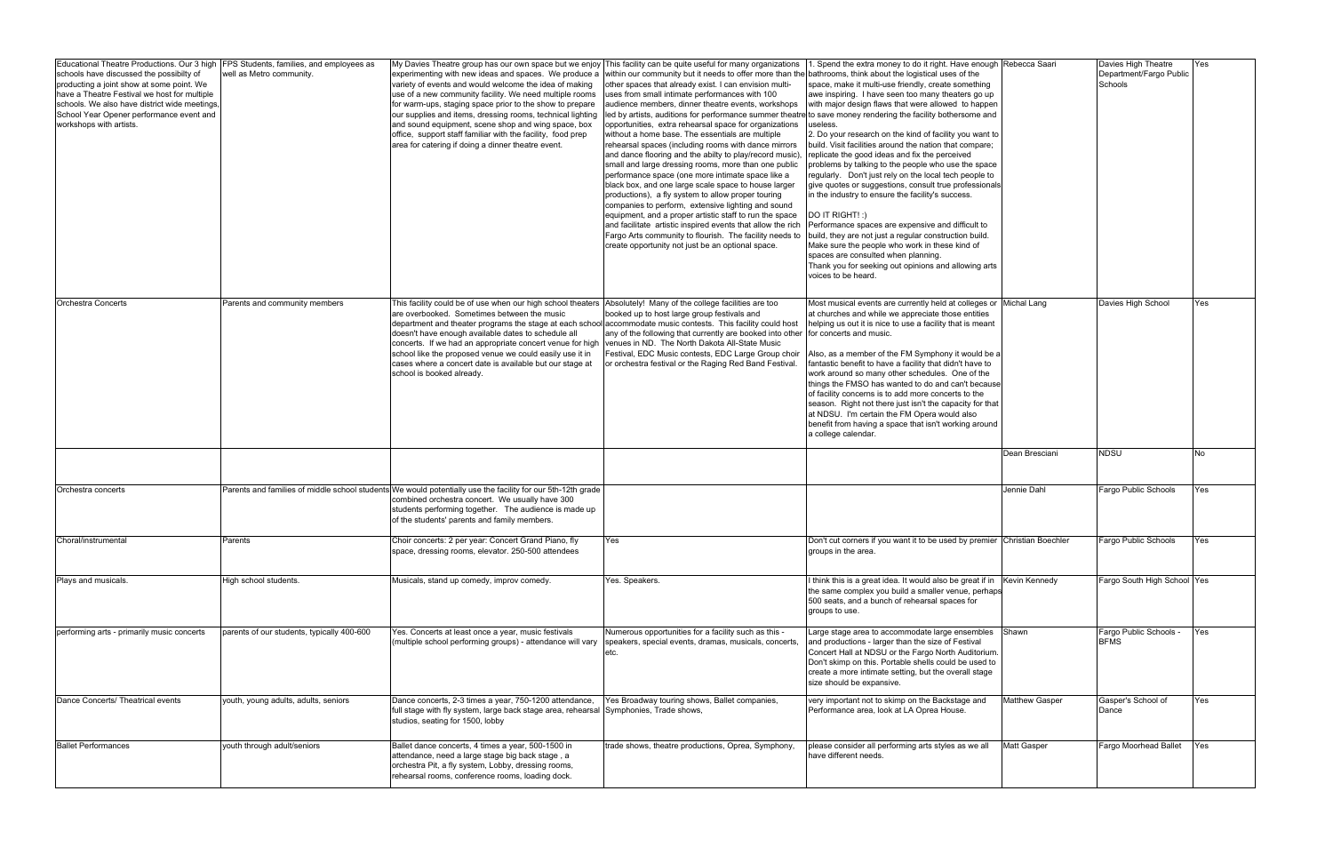| Educational Theatre Productions. Our 3 high<br>schools have discussed the possibilty of<br>producting a joint show at some point. We<br>have a Theatre Festival we host for multiple<br>schools. We also have district wide meetings,<br>School Year Opener performance event and<br>workshops with artists. | FPS Students, families, and employees as<br>well as Metro community. | My Davies Theatre group has our own space but we enjoy<br>experimenting with new ideas and spaces. We produce a<br>variety of events and would welcome the idea of making<br>use of a new community facility. We need multiple rooms<br>for warm-ups, staging space prior to the show to prepare<br>our supplies and items, dressing rooms, technical lighting<br>and sound equipment, scene shop and wing space, box<br>office, support staff familiar with the facility, food prep<br>area for catering if doing a dinner theatre event. | This facility can be quite useful for many organizations<br>within our community but it needs to offer more than the bathrooms, think about the logistical uses of the<br>other spaces that already exist. I can envision multi-<br>uses from small intimate performances with 100<br>audience members, dinner theatre events, workshops<br>led by artists, auditions for performance summer theatre to save money rendering the facility bothersome and<br>opportunities, extra rehearsal space for organizations<br>without a home base. The essentials are multiple<br>rehearsal spaces (including rooms with dance mirrors<br>and dance flooring and the abilty to play/record music)<br>small and large dressing rooms, more than one public<br>performance space (one more intimate space like a<br>black box, and one large scale space to house larger<br>productions), a fly system to allow proper touring<br>companies to perform, extensive lighting and sound<br>equipment, and a proper artistic staff to run the space<br>and facilitate artistic inspired events that allow the rich<br>Fargo Arts community to flourish. The facility needs to<br>create opportunity not just be an optional space. | . Spend the extra money to do it right. Have enough Rebecca Saari<br>space, make it multi-use friendly, create something<br>awe inspiring. I have seen too many theaters go up<br>with major design flaws that were allowed to happen<br>useless.<br>2. Do your research on the kind of facility you want to<br>build. Visit facilities around the nation that compare;<br>replicate the good ideas and fix the perceived<br>problems by talking to the people who use the space<br>regularly. Don't just rely on the local tech people to<br>give quotes or suggestions, consult true professionals<br>in the industry to ensure the facility's success.<br>DO IT RIGHT!:)<br>Performance spaces are expensive and difficult to<br>build, they are not just a regular construction build.<br>Make sure the people who work in these kind of<br>spaces are consulted when planning.<br>Thank you for seeking out opinions and allowing arts<br>voices to be heard. |                       | Davies High Theatre<br>Department/Fargo Public<br>Schools | Yes        |
|--------------------------------------------------------------------------------------------------------------------------------------------------------------------------------------------------------------------------------------------------------------------------------------------------------------|----------------------------------------------------------------------|--------------------------------------------------------------------------------------------------------------------------------------------------------------------------------------------------------------------------------------------------------------------------------------------------------------------------------------------------------------------------------------------------------------------------------------------------------------------------------------------------------------------------------------------|----------------------------------------------------------------------------------------------------------------------------------------------------------------------------------------------------------------------------------------------------------------------------------------------------------------------------------------------------------------------------------------------------------------------------------------------------------------------------------------------------------------------------------------------------------------------------------------------------------------------------------------------------------------------------------------------------------------------------------------------------------------------------------------------------------------------------------------------------------------------------------------------------------------------------------------------------------------------------------------------------------------------------------------------------------------------------------------------------------------------------------------------------------------------------------------------------------------------|--------------------------------------------------------------------------------------------------------------------------------------------------------------------------------------------------------------------------------------------------------------------------------------------------------------------------------------------------------------------------------------------------------------------------------------------------------------------------------------------------------------------------------------------------------------------------------------------------------------------------------------------------------------------------------------------------------------------------------------------------------------------------------------------------------------------------------------------------------------------------------------------------------------------------------------------------------------------|-----------------------|-----------------------------------------------------------|------------|
| <b>Orchestra Concerts</b>                                                                                                                                                                                                                                                                                    | Parents and community members                                        | This facility could be of use when our high school theaters<br>are overbooked. Sometimes between the music<br>department and theater programs the stage at each school accommodate music contests. This facility could host<br>doesn't have enough available dates to schedule all<br>concerts. If we had an appropriate concert venue for high<br>school like the proposed venue we could easily use it in<br>cases where a concert date is available but our stage at<br>school is booked already.                                       | Absolutely! Many of the college facilities are too<br>booked up to host large group festivals and<br>any of the following that currently are booked into other<br>venues in ND. The North Dakota All-State Music<br>Festival, EDC Music contests, EDC Large Group choir<br>or orchestra festival or the Raging Red Band Festival.                                                                                                                                                                                                                                                                                                                                                                                                                                                                                                                                                                                                                                                                                                                                                                                                                                                                                    | Most musical events are currently held at colleges or Michal Lang<br>at churches and while we appreciate those entities<br>helping us out it is nice to use a facility that is meant<br>for concerts and music.<br>Also, as a member of the FM Symphony it would be a<br>fantastic benefit to have a facility that didn't have to<br>work around so many other schedules. One of the<br>things the FMSO has wanted to do and can't because<br>of facility concerns is to add more concerts to the<br>season. Right not there just isn't the capacity for that<br>at NDSU. I'm certain the FM Opera would also<br>benefit from having a space that isn't working around<br>a college calendar.                                                                                                                                                                                                                                                                      |                       | Davies High School                                        | Yes        |
|                                                                                                                                                                                                                                                                                                              |                                                                      |                                                                                                                                                                                                                                                                                                                                                                                                                                                                                                                                            |                                                                                                                                                                                                                                                                                                                                                                                                                                                                                                                                                                                                                                                                                                                                                                                                                                                                                                                                                                                                                                                                                                                                                                                                                      |                                                                                                                                                                                                                                                                                                                                                                                                                                                                                                                                                                                                                                                                                                                                                                                                                                                                                                                                                                    | Dean Bresciani        | <b>NDSU</b>                                               | <b>No</b>  |
| Orchestra concerts                                                                                                                                                                                                                                                                                           |                                                                      | Parents and families of middle school students We would potentially use the facility for our 5th-12th grade<br>combined orchestra concert. We usually have 300<br>students performing together. The audience is made up<br>of the students' parents and family members.                                                                                                                                                                                                                                                                    |                                                                                                                                                                                                                                                                                                                                                                                                                                                                                                                                                                                                                                                                                                                                                                                                                                                                                                                                                                                                                                                                                                                                                                                                                      |                                                                                                                                                                                                                                                                                                                                                                                                                                                                                                                                                                                                                                                                                                                                                                                                                                                                                                                                                                    | Jennie Dahl           | Fargo Public Schools                                      | Yes        |
| Choral/instrumental                                                                                                                                                                                                                                                                                          | Parents                                                              | Choir concerts: 2 per year: Concert Grand Piano, fly<br>space, dressing rooms, elevator. 250-500 attendees                                                                                                                                                                                                                                                                                                                                                                                                                                 | Yes                                                                                                                                                                                                                                                                                                                                                                                                                                                                                                                                                                                                                                                                                                                                                                                                                                                                                                                                                                                                                                                                                                                                                                                                                  | Don't cut corners if you want it to be used by premier Christian Boechler<br>groups in the area.                                                                                                                                                                                                                                                                                                                                                                                                                                                                                                                                                                                                                                                                                                                                                                                                                                                                   |                       | Fargo Public Schools                                      | Yes        |
| Plays and musicals.                                                                                                                                                                                                                                                                                          | High school students.                                                | Musicals, stand up comedy, improv comedy.                                                                                                                                                                                                                                                                                                                                                                                                                                                                                                  | Yes. Speakers.                                                                                                                                                                                                                                                                                                                                                                                                                                                                                                                                                                                                                                                                                                                                                                                                                                                                                                                                                                                                                                                                                                                                                                                                       | I think this is a great idea. It would also be great if in Kevin Kennedy<br>the same complex you build a smaller venue, perhaps<br>500 seats, and a bunch of rehearsal spaces for<br>groups to use.                                                                                                                                                                                                                                                                                                                                                                                                                                                                                                                                                                                                                                                                                                                                                                |                       | Fargo South High School Yes                               |            |
| performing arts - primarily music concerts                                                                                                                                                                                                                                                                   | parents of our students, typically 400-600                           | Yes. Concerts at least once a year, music festivals<br>(multiple school performing groups) - attendance will vary                                                                                                                                                                                                                                                                                                                                                                                                                          | Numerous opportunities for a facility such as this -<br>speakers, special events, dramas, musicals, concerts,                                                                                                                                                                                                                                                                                                                                                                                                                                                                                                                                                                                                                                                                                                                                                                                                                                                                                                                                                                                                                                                                                                        | Large stage area to accommodate large ensembles Shawn<br>and productions - larger than the size of Festival<br>Concert Hall at NDSU or the Fargo North Auditorium.<br>Don't skimp on this. Portable shells could be used to<br>create a more intimate setting, but the overall stage<br>size should be expansive.                                                                                                                                                                                                                                                                                                                                                                                                                                                                                                                                                                                                                                                  |                       | Fargo Public Schools -<br><b>BFMS</b>                     | <b>Yes</b> |
| Dance Concerts/ Theatrical events                                                                                                                                                                                                                                                                            | youth, young adults, adults, seniors                                 | Dance concerts, 2-3 times a year, 750-1200 attendance,<br>full stage with fly system, large back stage area, rehearsal Symphonies, Trade shows,<br>studios, seating for 1500, lobby                                                                                                                                                                                                                                                                                                                                                        | Yes Broadway touring shows, Ballet companies,                                                                                                                                                                                                                                                                                                                                                                                                                                                                                                                                                                                                                                                                                                                                                                                                                                                                                                                                                                                                                                                                                                                                                                        | very important not to skimp on the Backstage and<br>Performance area, look at LA Oprea House.                                                                                                                                                                                                                                                                                                                                                                                                                                                                                                                                                                                                                                                                                                                                                                                                                                                                      | <b>Matthew Gasper</b> | Gasper's School of<br>Dance                               | Yes        |
| <b>Ballet Performances</b>                                                                                                                                                                                                                                                                                   | youth through adult/seniors                                          | Ballet dance concerts, 4 times a year, 500-1500 in<br>attendance, need a large stage big back stage, a<br>orchestra Pit, a fly system, Lobby, dressing rooms,<br>rehearsal rooms, conference rooms, loading dock.                                                                                                                                                                                                                                                                                                                          | trade shows, theatre productions, Oprea, Symphony,                                                                                                                                                                                                                                                                                                                                                                                                                                                                                                                                                                                                                                                                                                                                                                                                                                                                                                                                                                                                                                                                                                                                                                   | please consider all performing arts styles as we all<br>have different needs.                                                                                                                                                                                                                                                                                                                                                                                                                                                                                                                                                                                                                                                                                                                                                                                                                                                                                      | <b>Matt Gasper</b>    | Fargo Moorhead Ballet                                     | Yes        |